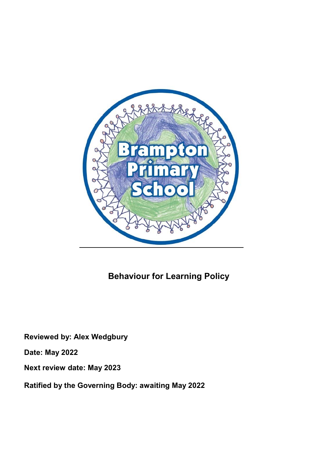

# Behaviour for Learning Policy

Reviewed by: Alex Wedgbury

Date: May 2022

Next review date: May 2023

Ratified by the Governing Body: awaiting May 2022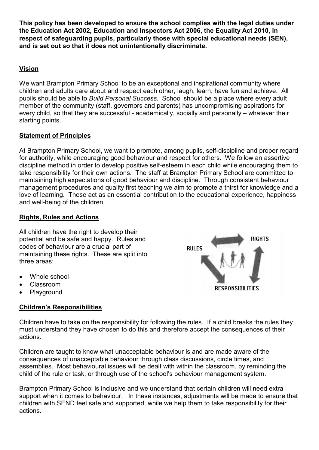This policy has been developed to ensure the school complies with the legal duties under the Education Act 2002, Education and Inspectors Act 2006, the Equality Act 2010, in respect of safeguarding pupils, particularly those with special educational needs (SEN), and is set out so that it does not unintentionally discriminate.

# Vision

We want Brampton Primary School to be an exceptional and inspirational community where children and adults care about and respect each other, laugh, learn, have fun and achieve. All pupils should be able to Build Personal Success. School should be a place where every adult member of the community (staff, governors and parents) has uncompromising aspirations for every child, so that they are successful - academically, socially and personally – whatever their starting points.

# Statement of Principles

At Brampton Primary School, we want to promote, among pupils, self-discipline and proper regard for authority, while encouraging good behaviour and respect for others. We follow an assertive discipline method in order to develop positive self-esteem in each child while encouraging them to take responsibility for their own actions. The staff at Brampton Primary School are committed to maintaining high expectations of good behaviour and discipline. Through consistent behaviour management procedures and quality first teaching we aim to promote a thirst for knowledge and a love of learning. These act as an essential contribution to the educational experience, happiness and well-being of the children.

# Rights, Rules and Actions

All children have the right to develop their potential and be safe and happy. Rules and codes of behaviour are a crucial part of maintaining these rights. These are split into three areas:

- Whole school
- Classroom
- Playground

# Children's Responsibilities



Children have to take on the responsibility for following the rules. If a child breaks the rules they must understand they have chosen to do this and therefore accept the consequences of their actions.

Children are taught to know what unacceptable behaviour is and are made aware of the consequences of unacceptable behaviour through class discussions, circle times, and assemblies. Most behavioural issues will be dealt with within the classroom, by reminding the child of the rule or task, or through use of the school's behaviour management system.

Brampton Primary School is inclusive and we understand that certain children will need extra support when it comes to behaviour. In these instances, adjustments will be made to ensure that children with SEND feel safe and supported, while we help them to take responsibility for their actions.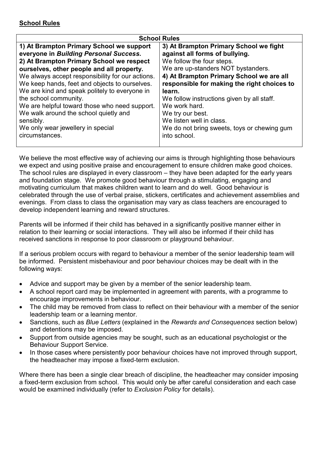| <b>School Rules</b>                              |                                             |
|--------------------------------------------------|---------------------------------------------|
| 1) At Brampton Primary School we support         | 3) At Brampton Primary School we fight      |
| everyone in Building Personal Success.           | against all forms of bullying.              |
| 2) At Brampton Primary School we respect         | We follow the four steps.                   |
| ourselves, other people and all property.        | We are up-standers NOT bystanders.          |
| We always accept responsibility for our actions. | 4) At Brampton Primary School we are all    |
| We keep hands, feet and objects to ourselves.    | responsible for making the right choices to |
| We are kind and speak politely to everyone in    | learn.                                      |
| the school community.                            | We follow instructions given by all staff.  |
| We are helpful toward those who need support.    | We work hard.                               |
| We walk around the school quietly and            | We try our best.                            |
| sensibly.                                        | We listen well in class.                    |
| We only wear jewellery in special                | We do not bring sweets, toys or chewing gum |
| circumstances.                                   | into school.                                |
|                                                  |                                             |

We believe the most effective way of achieving our aims is through highlighting those behaviours we expect and using positive praise and encouragement to ensure children make good choices. The school rules are displayed in every classroom – they have been adapted for the early years and foundation stage. We promote good behaviour through a stimulating, engaging and motivating curriculum that makes children want to learn and do well. Good behaviour is celebrated through the use of verbal praise, stickers, certificates and achievement assemblies and evenings. From class to class the organisation may vary as class teachers are encouraged to develop independent learning and reward structures.

Parents will be informed if their child has behaved in a significantly positive manner either in relation to their learning or social interactions. They will also be informed if their child has received sanctions in response to poor classroom or playground behaviour.

If a serious problem occurs with regard to behaviour a member of the senior leadership team will be informed. Persistent misbehaviour and poor behaviour choices may be dealt with in the following ways:

- Advice and support may be given by a member of the senior leadership team.
- A school report card may be implemented in agreement with parents, with a programme to encourage improvements in behaviour.
- The child may be removed from class to reflect on their behaviour with a member of the senior leadership team or a learning mentor.
- Sanctions, such as Blue Letters (explained in the Rewards and Consequences section below) and detentions may be imposed.
- Support from outside agencies may be sought, such as an educational psychologist or the Behaviour Support Service.
- In those cases where persistently poor behaviour choices have not improved through support, the headteacher may impose a fixed-term exclusion.

Where there has been a single clear breach of discipline, the headteacher may consider imposing a fixed-term exclusion from school. This would only be after careful consideration and each case would be examined individually (refer to Exclusion Policy for details).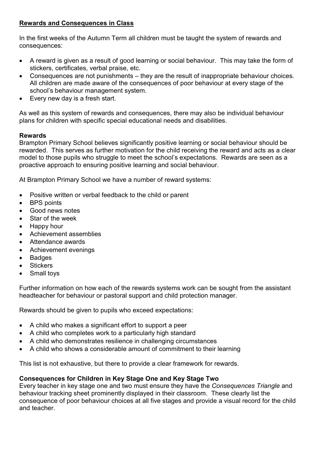## Rewards and Consequences in Class

In the first weeks of the Autumn Term all children must be taught the system of rewards and consequences:

- A reward is given as a result of good learning or social behaviour. This may take the form of stickers, certificates, verbal praise, etc.
- Consequences are not punishments they are the result of inappropriate behaviour choices. All children are made aware of the consequences of poor behaviour at every stage of the school's behaviour management system.
- Every new day is a fresh start.

As well as this system of rewards and consequences, there may also be individual behaviour plans for children with specific special educational needs and disabilities.

#### Rewards

Brampton Primary School believes significantly positive learning or social behaviour should be rewarded. This serves as further motivation for the child receiving the reward and acts as a clear model to those pupils who struggle to meet the school's expectations. Rewards are seen as a proactive approach to ensuring positive learning and social behaviour.

At Brampton Primary School we have a number of reward systems:

- Positive written or verbal feedback to the child or parent
- BPS points
- Good news notes
- Star of the week
- Happy hour
- Achievement assemblies
- Attendance awards
- Achievement evenings
- Badges
- **Stickers**
- Small toys

Further information on how each of the rewards systems work can be sought from the assistant headteacher for behaviour or pastoral support and child protection manager.

Rewards should be given to pupils who exceed expectations:

- A child who makes a significant effort to support a peer
- A child who completes work to a particularly high standard
- A child who demonstrates resilience in challenging circumstances
- A child who shows a considerable amount of commitment to their learning

This list is not exhaustive, but there to provide a clear framework for rewards.

## Consequences for Children in Key Stage One and Key Stage Two

Every teacher in key stage one and two must ensure they have the Consequences Triangle and behaviour tracking sheet prominently displayed in their classroom. These clearly list the consequence of poor behaviour choices at all five stages and provide a visual record for the child and teacher.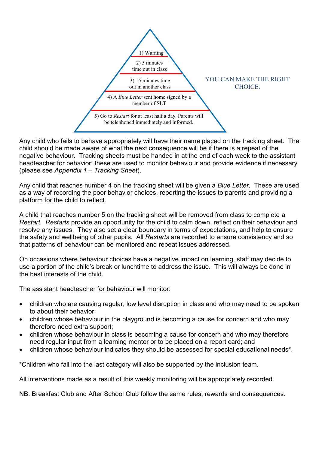

Any child who fails to behave appropriately will have their name placed on the tracking sheet. The child should be made aware of what the next consequence will be if there is a repeat of the negative behaviour. Tracking sheets must be handed in at the end of each week to the assistant headteacher for behavior: these are used to monitor behaviour and provide evidence if necessary (please see Appendix 1 – Tracking Sheet).

Any child that reaches number 4 on the tracking sheet will be given a Blue Letter. These are used as a way of recording the poor behavior choices, reporting the issues to parents and providing a platform for the child to reflect.

A child that reaches number 5 on the tracking sheet will be removed from class to complete a Restart. Restarts provide an opportunity for the child to calm down, reflect on their behaviour and resolve any issues. They also set a clear boundary in terms of expectations, and help to ensure the safety and wellbeing of other pupils. All Restarts are recorded to ensure consistency and so that patterns of behaviour can be monitored and repeat issues addressed.

On occasions where behaviour choices have a negative impact on learning, staff may decide to use a portion of the child's break or lunchtime to address the issue. This will always be done in the best interests of the child.

The assistant headteacher for behaviour will monitor:

- children who are causing regular, low level disruption in class and who may need to be spoken to about their behavior;
- children whose behaviour in the playground is becoming a cause for concern and who may therefore need extra support;
- children whose behaviour in class is becoming a cause for concern and who may therefore need regular input from a learning mentor or to be placed on a report card; and
- children whose behaviour indicates they should be assessed for special educational needs\*.

\*Children who fall into the last category will also be supported by the inclusion team.

All interventions made as a result of this weekly monitoring will be appropriately recorded.

NB. Breakfast Club and After School Club follow the same rules, rewards and consequences.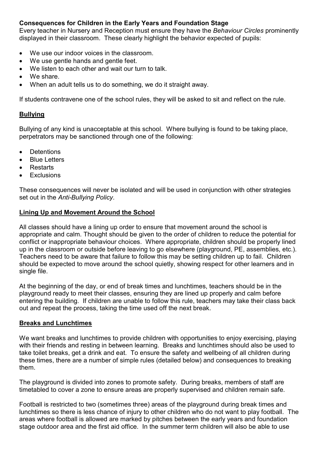## Consequences for Children in the Early Years and Foundation Stage

Every teacher in Nursery and Reception must ensure they have the Behaviour Circles prominently displayed in their classroom. These clearly highlight the behavior expected of pupils:

- We use our indoor voices in the classroom.
- We use gentle hands and gentle feet.
- We listen to each other and wait our turn to talk
- We share.
- When an adult tells us to do something, we do it straight away.

If students contravene one of the school rules, they will be asked to sit and reflect on the rule.

#### Bullying

Bullying of any kind is unacceptable at this school. Where bullying is found to be taking place, perpetrators may be sanctioned through one of the following:

- **Detentions**
- Blue Letters
- Restarts
- **Exclusions**

These consequences will never be isolated and will be used in conjunction with other strategies set out in the Anti-Bullying Policy.

#### Lining Up and Movement Around the School

All classes should have a lining up order to ensure that movement around the school is appropriate and calm. Thought should be given to the order of children to reduce the potential for conflict or inappropriate behaviour choices. Where appropriate, children should be properly lined up in the classroom or outside before leaving to go elsewhere (playground, PE, assemblies, etc.). Teachers need to be aware that failure to follow this may be setting children up to fail. Children should be expected to move around the school quietly, showing respect for other learners and in single file.

At the beginning of the day, or end of break times and lunchtimes, teachers should be in the playground ready to meet their classes, ensuring they are lined up properly and calm before entering the building. If children are unable to follow this rule, teachers may take their class back out and repeat the process, taking the time used off the next break.

#### Breaks and Lunchtimes

We want breaks and lunchtimes to provide children with opportunities to enjoy exercising, playing with their friends and resting in between learning. Breaks and lunchtimes should also be used to take toilet breaks, get a drink and eat. To ensure the safety and wellbeing of all children during these times, there are a number of simple rules (detailed below) and consequences to breaking them.

The playground is divided into zones to promote safety. During breaks, members of staff are timetabled to cover a zone to ensure areas are properly supervised and children remain safe.

Football is restricted to two (sometimes three) areas of the playground during break times and lunchtimes so there is less chance of injury to other children who do not want to play football. The areas where football is allowed are marked by pitches between the early years and foundation stage outdoor area and the first aid office. In the summer term children will also be able to use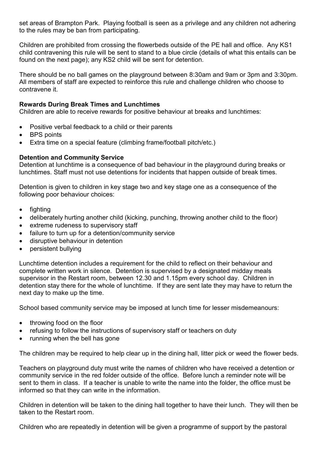set areas of Brampton Park. Playing football is seen as a privilege and any children not adhering to the rules may be ban from participating.

Children are prohibited from crossing the flowerbeds outside of the PE hall and office. Any KS1 child contravening this rule will be sent to stand to a blue circle (details of what this entails can be found on the next page); any KS2 child will be sent for detention.

There should be no ball games on the playground between 8:30am and 9am or 3pm and 3:30pm. All members of staff are expected to reinforce this rule and challenge children who choose to contravene it.

## Rewards During Break Times and Lunchtimes

Children are able to receive rewards for positive behaviour at breaks and lunchtimes:

- Positive verbal feedback to a child or their parents
- BPS points
- Extra time on a special feature (climbing frame/football pitch/etc.)

#### Detention and Community Service

Detention at lunchtime is a consequence of bad behaviour in the playground during breaks or lunchtimes. Staff must not use detentions for incidents that happen outside of break times.

Detention is given to children in key stage two and key stage one as a consequence of the following poor behaviour choices:

- fighting
- deliberately hurting another child (kicking, punching, throwing another child to the floor)
- extreme rudeness to supervisory staff
- failure to turn up for a detention/community service
- disruptive behaviour in detention
- persistent bullying

Lunchtime detention includes a requirement for the child to reflect on their behaviour and complete written work in silence. Detention is supervised by a designated midday meals supervisor in the Restart room, between 12.30 and 1.15pm every school day. Children in detention stay there for the whole of lunchtime. If they are sent late they may have to return the next day to make up the time.

School based community service may be imposed at lunch time for lesser misdemeanours:

- throwing food on the floor
- refusing to follow the instructions of supervisory staff or teachers on duty
- running when the bell has gone

The children may be required to help clear up in the dining hall, litter pick or weed the flower beds.

Teachers on playground duty must write the names of children who have received a detention or community service in the red folder outside of the office. Before lunch a reminder note will be sent to them in class. If a teacher is unable to write the name into the folder, the office must be informed so that they can write in the information.

Children in detention will be taken to the dining hall together to have their lunch. They will then be taken to the Restart room.

Children who are repeatedly in detention will be given a programme of support by the pastoral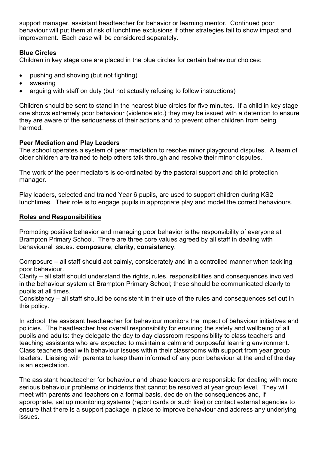support manager, assistant headteacher for behavior or learning mentor. Continued poor behaviour will put them at risk of lunchtime exclusions if other strategies fail to show impact and improvement. Each case will be considered separately.

## Blue Circles

Children in key stage one are placed in the blue circles for certain behaviour choices:

- pushing and shoving (but not fighting)
- swearing
- arguing with staff on duty (but not actually refusing to follow instructions)

Children should be sent to stand in the nearest blue circles for five minutes. If a child in key stage one shows extremely poor behaviour (violence etc.) they may be issued with a detention to ensure they are aware of the seriousness of their actions and to prevent other children from being harmed.

#### Peer Mediation and Play Leaders

The school operates a system of peer mediation to resolve minor playground disputes. A team of older children are trained to help others talk through and resolve their minor disputes.

The work of the peer mediators is co-ordinated by the pastoral support and child protection manager.

Play leaders, selected and trained Year 6 pupils, are used to support children during KS2 lunchtimes. Their role is to engage pupils in appropriate play and model the correct behaviours.

#### Roles and Responsibilities

Promoting positive behavior and managing poor behavior is the responsibility of everyone at Brampton Primary School. There are three core values agreed by all staff in dealing with behavioural issues: composure, clarity, consistency.

Composure – all staff should act calmly, considerately and in a controlled manner when tackling poor behaviour.

Clarity – all staff should understand the rights, rules, responsibilities and consequences involved in the behaviour system at Brampton Primary School; these should be communicated clearly to pupils at all times.

Consistency – all staff should be consistent in their use of the rules and consequences set out in this policy.

In school, the assistant headteacher for behaviour monitors the impact of behaviour initiatives and policies. The headteacher has overall responsibility for ensuring the safety and wellbeing of all pupils and adults: they delegate the day to day classroom responsibility to class teachers and teaching assistants who are expected to maintain a calm and purposeful learning environment. Class teachers deal with behaviour issues within their classrooms with support from year group leaders. Liaising with parents to keep them informed of any poor behaviour at the end of the day is an expectation.

The assistant headteacher for behaviour and phase leaders are responsible for dealing with more serious behaviour problems or incidents that cannot be resolved at year group level. They will meet with parents and teachers on a formal basis, decide on the consequences and, if appropriate, set up monitoring systems (report cards or such like) or contact external agencies to ensure that there is a support package in place to improve behaviour and address any underlying issues.